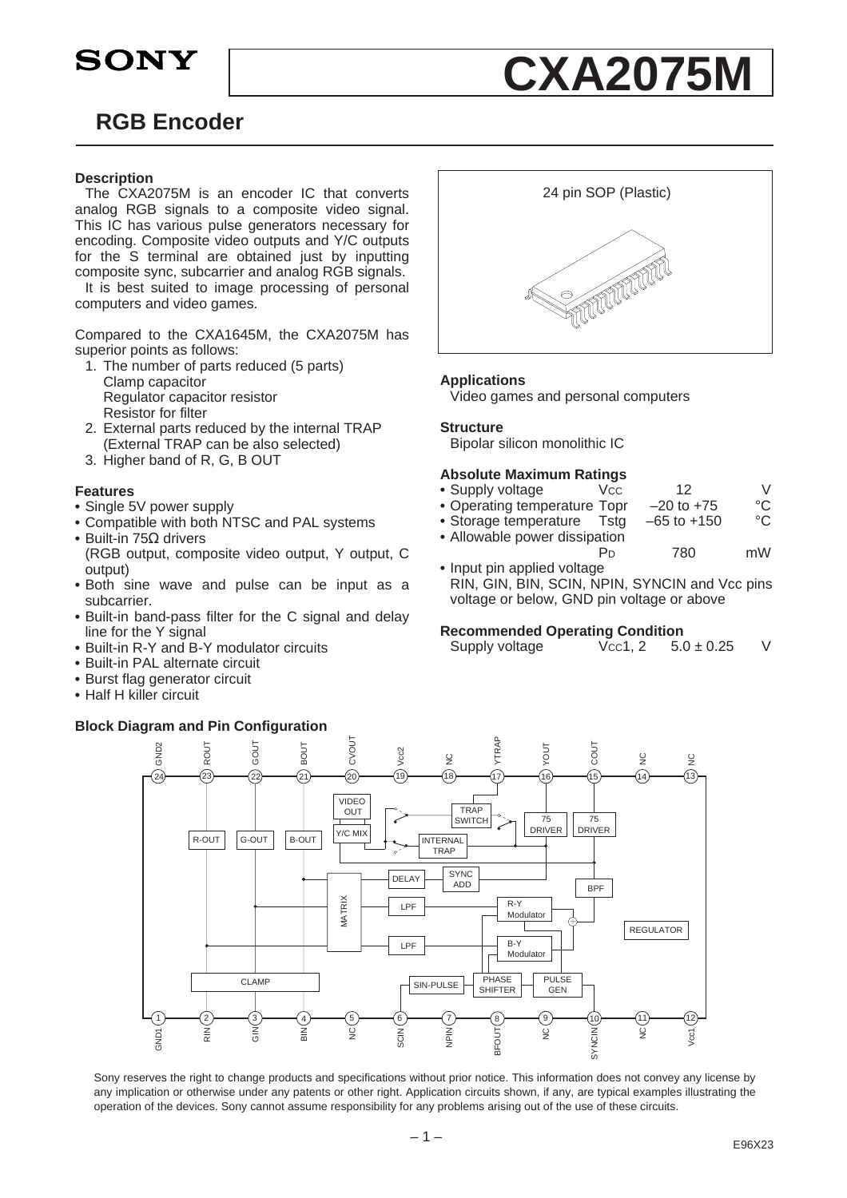**SONY** 

# **RGB Encoder**

### **Description**

The CXA2075M is an encoder IC that converts analog RGB signals to a composite video signal. This IC has various pulse generators necessary for encoding. Composite video outputs and Y/C outputs for the S terminal are obtained just by inputting composite sync, subcarrier and analog RGB signals.

It is best suited to image processing of personal computers and video games.

Compared to the CXA1645M, the CXA2075M has superior points as follows:

- 1. The number of parts reduced (5 parts) Clamp capacitor Regulator capacitor resistor Resistor for filter
- 2. External parts reduced by the internal TRAP (External TRAP can be also selected)
- 3. Higher band of R, G, B OUT

### **Features**

- **•** Single 5V power supply
- **•** Compatible with both NTSC and PAL systems
- **•** Built-in 75Ω drivers
- (RGB output, composite video output, Y output, C output)
- **•** Both sine wave and pulse can be input as a subcarrier.
- **•** Built-in band-pass filter for the C signal and delay line for the Y signal
- **•** Built-in R-Y and B-Y modulator circuits
- **•** Built-in PAL alternate circuit
- **•** Burst flag generator circuit
- **•** Half H killer circuit

### **Block Diagram and Pin Configuration**



**CXA2075M**

### **Applications**

Video games and personal computers

### **Structure**

Bipolar silicon monolithic IC

### **Absolute Maximum Ratings**

- Supply voltage Vcc 12 V
- Operating temperature Topr –20 to +75 °C<br>• Storage temperature Tstg –65 to +150 °C • Storage temperature Tstg
- **•** Allowable power dissipation
- PD 780 mW **•** Input pin applied voltage
- RIN, GIN, BIN, SCIN, NPIN, SYNCIN and Vcc pins voltage or below, GND pin voltage or above

#### **Recommended Operating Condition**

| Supply voltage | Vcc1, 2 | $5.0 \pm 0.25$ | V |
|----------------|---------|----------------|---|
|----------------|---------|----------------|---|



Sony reserves the right to change products and specifications without prior notice. This information does not convey any license by any implication or otherwise under any patents or other right. Application circuits shown, if any, are typical examples illustrating the operation of the devices. Sony cannot assume responsibility for any problems arising out of the use of these circuits.

 $-1 -$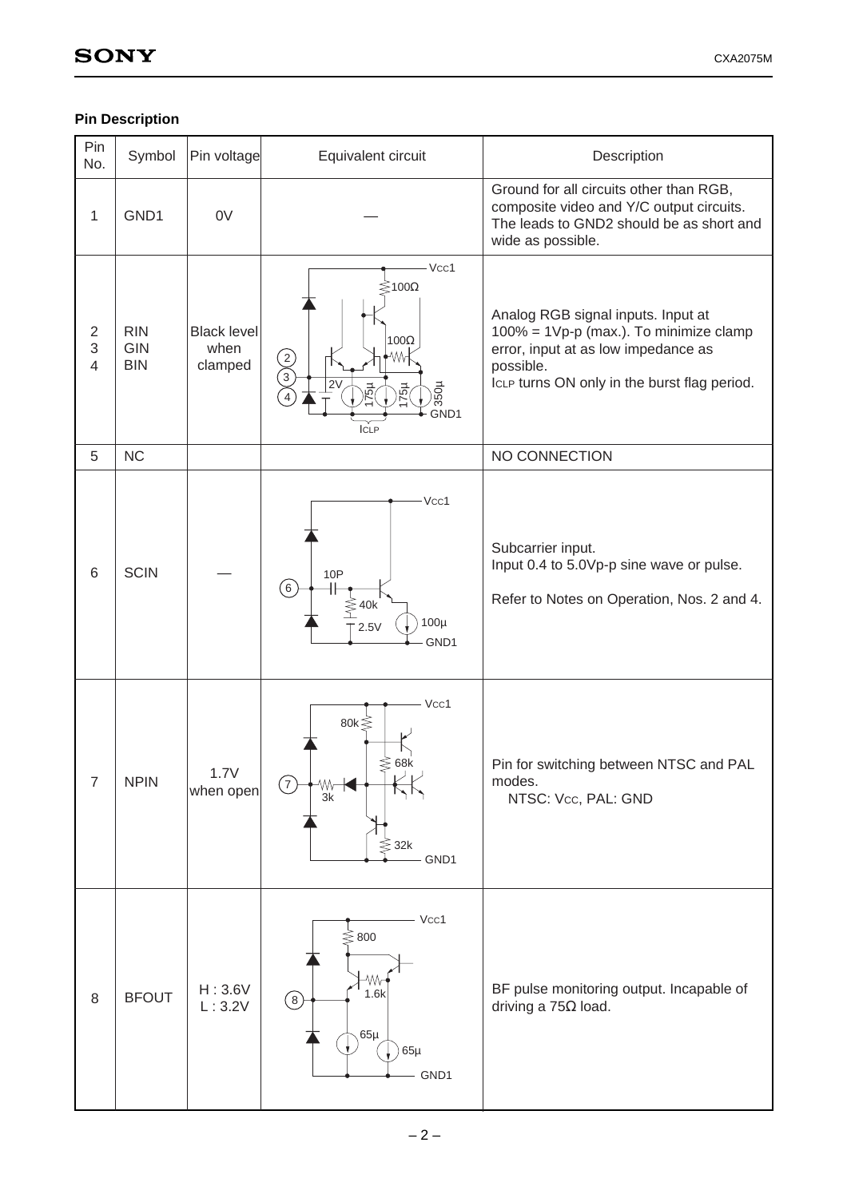# **Pin Description**

| Pin<br>No.                            | Symbol                                 | Pin voltage                           | Equivalent circuit                                                                                                          | Description                                                                                                                                                                      |
|---------------------------------------|----------------------------------------|---------------------------------------|-----------------------------------------------------------------------------------------------------------------------------|----------------------------------------------------------------------------------------------------------------------------------------------------------------------------------|
| 1                                     | GND1                                   | 0V                                    |                                                                                                                             | Ground for all circuits other than RGB,<br>composite video and Y/C output circuits.<br>The leads to GND2 should be as short and<br>wide as possible.                             |
| $\overline{2}$<br>3<br>$\overline{4}$ | <b>RIN</b><br><b>GIN</b><br><b>BIN</b> | <b>Black level</b><br>when<br>clamped | $-Vcc1$<br>$≥$ 100Ω<br>100 $\Omega$<br>WV-<br>$\overline{2}$<br>2V<br>350µ<br>$\frac{1}{25}$<br><b>Hg</b> Z<br>GND1<br>ICLP | Analog RGB signal inputs. Input at<br>100% = 1Vp-p (max.). To minimize clamp<br>error, input at as low impedance as<br>possible.<br>ICLP turns ON only in the burst flag period. |
| 5                                     | <b>NC</b>                              |                                       |                                                                                                                             | NO CONNECTION                                                                                                                                                                    |
| 6                                     | <b>SCIN</b>                            |                                       | Vcc1<br>10P<br>$\left(6\right)$<br>$\leq 40k$<br>$100\mu$<br>2.5V<br>GND1                                                   | Subcarrier input.<br>Input 0.4 to 5.0Vp-p sine wave or pulse.<br>Refer to Notes on Operation, Nos. 2 and 4.                                                                      |
| $\overline{7}$                        | <b>NPIN</b>                            | 1.7V<br>when open                     | Vcc1<br>80 $k \leq$<br>$\lessgtr$ 68k<br>$\overline{7}$<br>Wy<br>3k<br>$≤$ 32k<br>GND1                                      | Pin for switching between NTSC and PAL<br>modes.<br>NTSC: Vcc, PAL: GND                                                                                                          |
| $\,8\,$                               | <b>BFOUT</b>                           | H: 3.6V<br>L:3.2V                     | Vcc1<br>$\lessgtr$ 800<br>۸W<br>1.6k<br>$\circledS$<br>$65\mu$<br>$65\mu$<br>GND1                                           | BF pulse monitoring output. Incapable of<br>driving a $75\Omega$ load.                                                                                                           |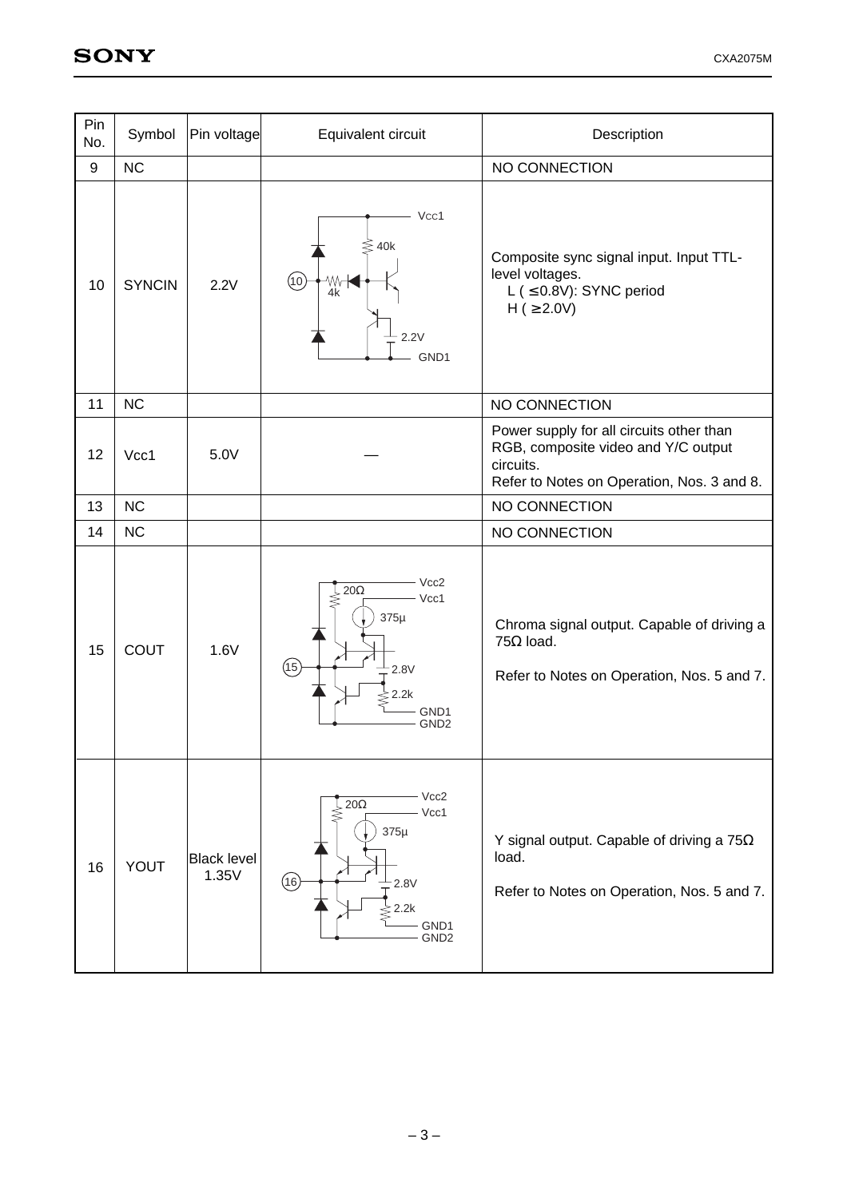| Pin<br>No. | Symbol        | Pin voltage                 | Equivalent circuit                                                                                                                    | Description                                                                                                                                |
|------------|---------------|-----------------------------|---------------------------------------------------------------------------------------------------------------------------------------|--------------------------------------------------------------------------------------------------------------------------------------------|
| 9          | <b>NC</b>     |                             |                                                                                                                                       | NO CONNECTION                                                                                                                              |
| 10         | <b>SYNCIN</b> | 2.2V                        | Vcc1<br>$\lessgtr$ 40k<br>(10)<br>Wv<br>4k<br>2.2V<br>GND1                                                                            | Composite sync signal input. Input TTL-<br>level voltages.<br>L ( $\leq$ 0.8V): SYNC period<br>$H$ ( $\geq$ 2.0V)                          |
| 11         | <b>NC</b>     |                             |                                                                                                                                       | NO CONNECTION                                                                                                                              |
| 12         | Vcc1          | 5.0V                        |                                                                                                                                       | Power supply for all circuits other than<br>RGB, composite video and Y/C output<br>circuits.<br>Refer to Notes on Operation, Nos. 3 and 8. |
| 13         | <b>NC</b>     |                             |                                                                                                                                       | NO CONNECTION                                                                                                                              |
| 14         | <b>NC</b>     |                             |                                                                                                                                       | NO CONNECTION                                                                                                                              |
| 15         | <b>COUT</b>   | 1.6V                        | Vcc2<br>$20\Omega$<br>Vcc1<br>$375\mu$<br>(15)<br>2.8V<br>2.2k<br>GND <sub>1</sub><br>GND <sub>2</sub>                                | Chroma signal output. Capable of driving a<br>$75\Omega$ load.<br>Refer to Notes on Operation, Nos. 5 and 7.                               |
| 16         | YOUT          | <b>Black level</b><br>1.35V | Vcc2<br>$\overline{20\Omega}$<br>Vcc1<br>⋚<br>$375\mu$<br>$\circled{\scriptstyle 16}$<br>2.8V<br>$z$ 2.2k<br>GND1<br>GND <sub>2</sub> | Y signal output. Capable of driving a $75\Omega$<br>load.<br>Refer to Notes on Operation, Nos. 5 and 7.                                    |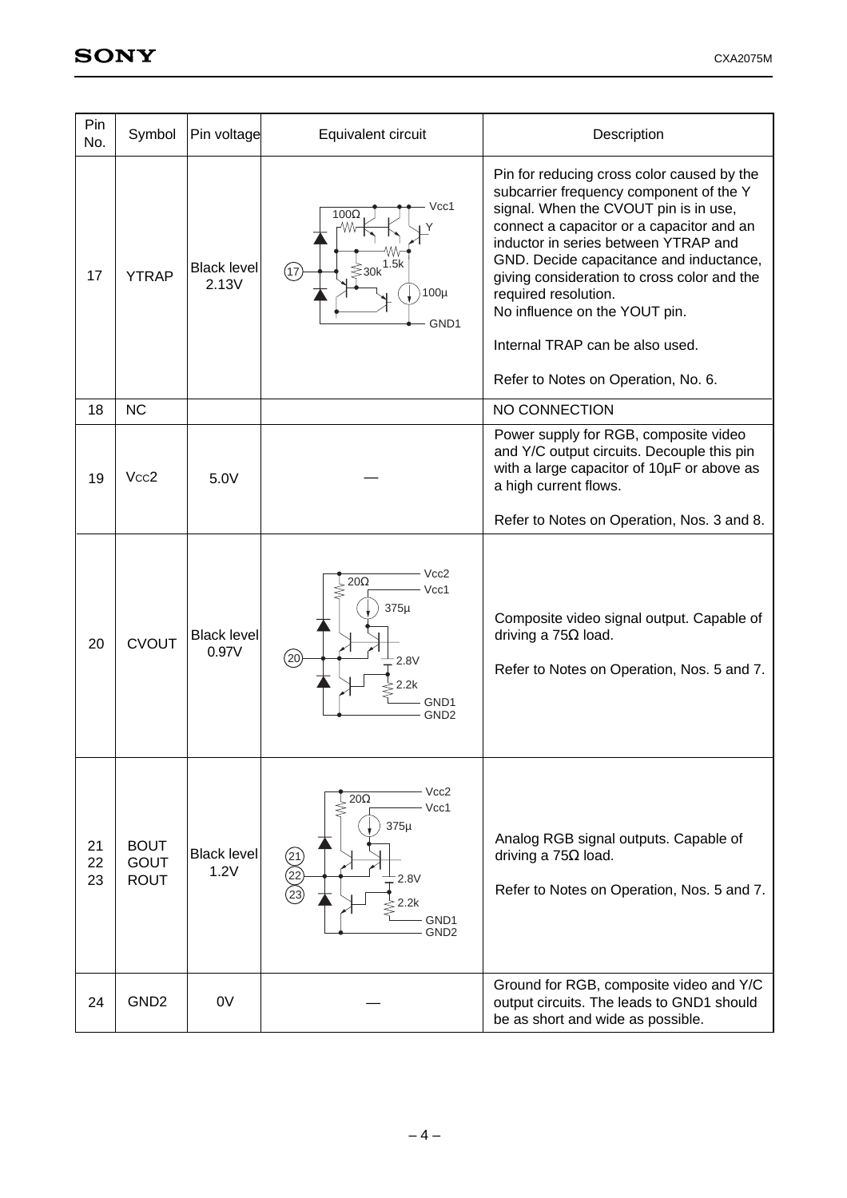| Pin<br>No.     | Symbol                                    | Pin voltage                 | Equivalent circuit                                                                                                                   | Description                                                                                                                                                                                                                                                                                                                                                                                                                                      |
|----------------|-------------------------------------------|-----------------------------|--------------------------------------------------------------------------------------------------------------------------------------|--------------------------------------------------------------------------------------------------------------------------------------------------------------------------------------------------------------------------------------------------------------------------------------------------------------------------------------------------------------------------------------------------------------------------------------------------|
| 17             | <b>YTRAP</b>                              | <b>Black level</b><br>2.13V | Vcc1<br>$100\Omega$<br>$\leqslant$ 30k <sup>1.5k</sup><br>(17)<br>$100\mu$<br>GND1                                                   | Pin for reducing cross color caused by the<br>subcarrier frequency component of the Y<br>signal. When the CVOUT pin is in use,<br>connect a capacitor or a capacitor and an<br>inductor in series between YTRAP and<br>GND. Decide capacitance and inductance,<br>giving consideration to cross color and the<br>required resolution.<br>No influence on the YOUT pin.<br>Internal TRAP can be also used.<br>Refer to Notes on Operation, No. 6. |
| 18             | <b>NC</b>                                 |                             |                                                                                                                                      | NO CONNECTION                                                                                                                                                                                                                                                                                                                                                                                                                                    |
| 19             | Vcc <sub>2</sub>                          | 5.0V                        |                                                                                                                                      | Power supply for RGB, composite video<br>and Y/C output circuits. Decouple this pin<br>with a large capacitor of 10µF or above as<br>a high current flows.<br>Refer to Notes on Operation, Nos. 3 and 8.                                                                                                                                                                                                                                         |
|                |                                           |                             |                                                                                                                                      |                                                                                                                                                                                                                                                                                                                                                                                                                                                  |
| 20             | <b>CVOUT</b>                              | <b>Black level</b><br>0.97V | Vcc2<br>$20\Omega$<br>Vcc1<br>$375\mu$<br>(20)<br>2.8V<br>2.2k<br>GND1<br>GND <sub>2</sub>                                           | Composite video signal output. Capable of<br>driving a $75\Omega$ load.<br>Refer to Notes on Operation, Nos. 5 and 7.                                                                                                                                                                                                                                                                                                                            |
| 21<br>22<br>23 | <b>BOUT</b><br><b>GOUT</b><br><b>ROUT</b> | <b>Black level</b><br>1.2V  | Vcc2<br>$20\Omega$<br>Vcc1<br>$375\mu$<br>$\begin{pmatrix} 21 \\ 22 \\ 23 \end{pmatrix}$<br>2.8V<br>2.2k<br>GND1<br>GND <sub>2</sub> | Analog RGB signal outputs. Capable of<br>driving a $75\Omega$ load.<br>Refer to Notes on Operation, Nos. 5 and 7.                                                                                                                                                                                                                                                                                                                                |
| 24             | GND <sub>2</sub>                          | 0V                          |                                                                                                                                      | Ground for RGB, composite video and Y/C<br>output circuits. The leads to GND1 should<br>be as short and wide as possible.                                                                                                                                                                                                                                                                                                                        |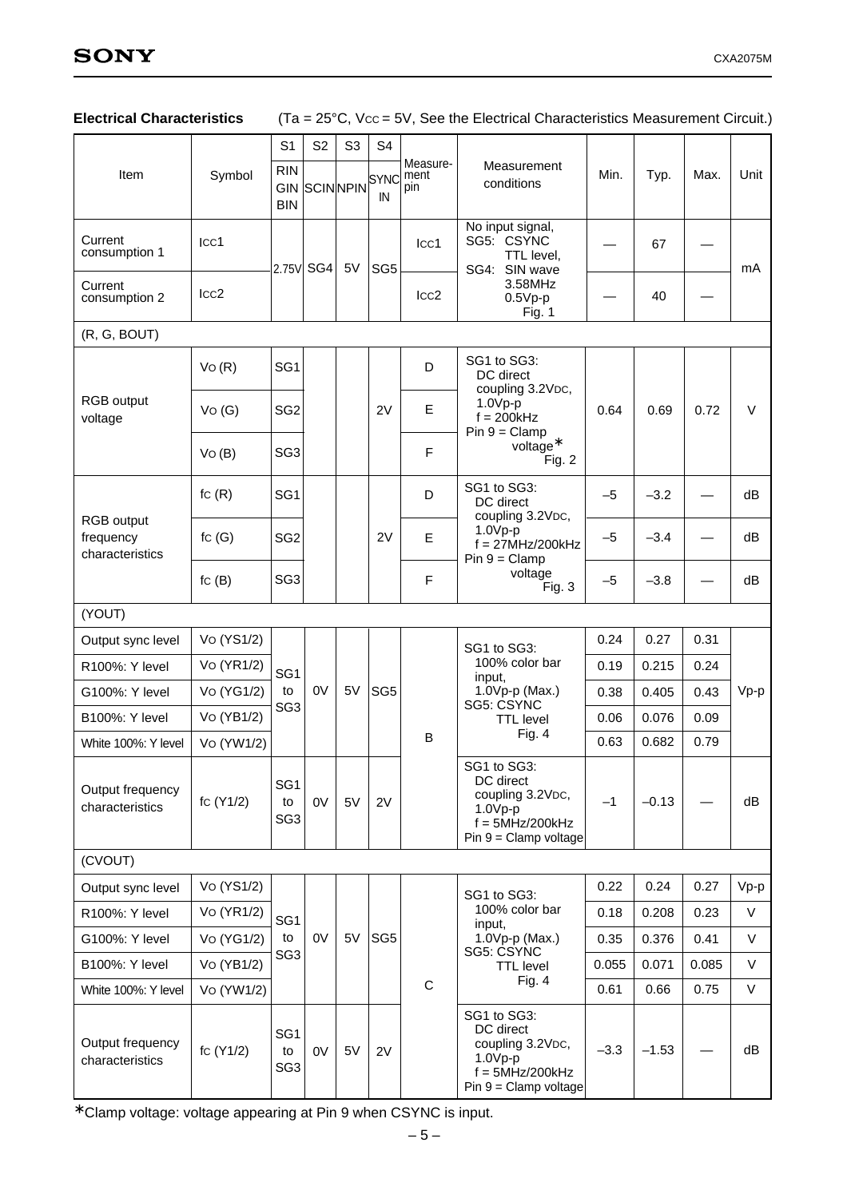|                                                   |                  | S <sub>1</sub>                           | S <sub>2</sub>           | S <sub>3</sub> | S <sub>4</sub>  |                         |                                                                                                                        |        |         |       |        |
|---------------------------------------------------|------------------|------------------------------------------|--------------------------|----------------|-----------------|-------------------------|------------------------------------------------------------------------------------------------------------------------|--------|---------|-------|--------|
| Item                                              | Symbol           | <b>RIN</b><br><b>GIN</b><br><b>BIN</b>   | SCINNPIN <sup>SYNC</sup> |                | IN              | Measure-<br>ment<br>pin | Measurement<br>conditions                                                                                              | Min.   | Typ.    | Max.  | Unit   |
| Current<br>consumption 1                          | Icc1             |                                          |                          |                |                 | Icc1                    | No input signal,<br>SG5: CSYNC<br>TTL level,                                                                           |        | 67      |       |        |
| Current<br>consumption 2                          | Icc <sub>2</sub> |                                          | 2.75V SG4                | 5V             | SG <sub>5</sub> | Icc <sub>2</sub>        | SG4: SIN wave<br>3.58MHz<br>$0.5Vp-p$<br>Fig. 1                                                                        |        | 40      |       | mA     |
| (R, G, BOUT)                                      |                  |                                          |                          |                |                 |                         |                                                                                                                        |        |         |       |        |
|                                                   | VO(R)            | SG <sub>1</sub>                          |                          |                |                 | D                       | SG1 to SG3:<br>DC direct<br>coupling 3.2VDC,                                                                           |        |         |       |        |
| RGB output<br>voltage                             | Vo(G)            | SG <sub>2</sub>                          |                          |                | 2V              | E                       | $1.0Vp-p$<br>$f = 200kHz$<br>$Pin 9 = Clamp$                                                                           | 0.64   | 0.69    | 0.72  | V      |
|                                                   | VO(B)            | SG <sub>3</sub>                          |                          |                |                 | F                       | $voltage*$<br>Fig. 2                                                                                                   |        |         |       |        |
|                                                   | fc(R)            | SG <sub>1</sub>                          |                          |                |                 | D                       | SG1 to SG3:<br>DC direct                                                                                               | $-5$   | $-3.2$  |       | dB     |
| <b>RGB</b> output<br>frequency<br>characteristics | fc $(G)$         | SG <sub>2</sub>                          |                          |                | 2V              | E                       | coupling 3.2VDC,<br>$1.0Vp-p$<br>$f = 27MHz/200kHz$<br>$Pin 9 = Clamp$<br>voltage<br>Fig. 3                            | $-5$   | $-3.4$  |       | dB     |
|                                                   | fc(B)            | SG <sub>3</sub>                          |                          |                |                 | F                       |                                                                                                                        | $-5$   | $-3.8$  |       | dB     |
| (YOUT)                                            |                  |                                          |                          |                |                 |                         |                                                                                                                        |        |         |       |        |
| Output sync level                                 | Vo (YS1/2)       |                                          |                          |                |                 |                         | SG1 to SG3:                                                                                                            | 0.24   | 0.27    | 0.31  |        |
| R100%: Y level                                    | Vo (YR1/2)       | SG <sub>1</sub>                          |                          |                |                 |                         | 100% color bar<br>input,                                                                                               | 0.19   | 0.215   | 0.24  |        |
| G100%: Y level                                    | Vo (YG1/2)       | to                                       | 0V                       | 5V             | SG <sub>5</sub> |                         | 1.0Vp-p (Max.)<br>SG5: CSYNC                                                                                           | 0.38   | 0.405   | 0.43  | $Vp-p$ |
| B100%: Y level                                    | Vo (YB1/2)       | SG <sub>3</sub>                          |                          |                |                 |                         | <b>TTL</b> level                                                                                                       | 0.06   | 0.076   | 0.09  |        |
| White 100%: Y level                               | Vo (YW1/2)       |                                          |                          |                |                 | B                       | Fig. $4$                                                                                                               | 0.63   | 0.682   | 0.79  |        |
| Output frequency<br>characteristics               | fc (Y1/2)        | SG <sub>1</sub><br>to<br>SG <sub>3</sub> | 0V                       | 5V             | 2V              |                         | SG1 to SG3:<br>DC direct<br>coupling 3.2VDC,<br>$1.0Vp-p$<br>$f = 5MHz/200kHz$<br>$Pin 9 = Clamp$ voltage              | $-1$   | $-0.13$ |       | dB     |
| (CVOUT)                                           |                  |                                          |                          |                |                 |                         |                                                                                                                        |        |         |       |        |
| Output sync level                                 | Vo (YS1/2)       |                                          |                          |                |                 |                         | SG1 to SG3:                                                                                                            | 0.22   | 0.24    | 0.27  | $Vp-p$ |
| R100%: Y level                                    | Vo (YR1/2)       | SG <sub>1</sub>                          |                          |                |                 |                         | 100% color bar<br>input,                                                                                               | 0.18   | 0.208   | 0.23  | V      |
| G100%: Y level                                    | Vo (YG1/2)       | to                                       | 0V                       | 5V             | SG <sub>5</sub> |                         | 1.0Vp-p (Max.)                                                                                                         | 0.35   | 0.376   | 0.41  | V      |
| <b>B100%: Y level</b>                             | Vo (YB1/2)       | SG <sub>3</sub>                          |                          |                |                 |                         | SG5: CSYNC<br><b>TTL</b> level                                                                                         | 0.055  | 0.071   | 0.085 | V      |
| White 100%: Y level                               | Vo (YW1/2)       |                                          |                          |                |                 | $\mathsf C$             | Fig. 4                                                                                                                 | 0.61   | 0.66    | 0.75  | V      |
| Output frequency<br>characteristics               | fc (Y1/2)        | SG <sub>1</sub><br>to<br>SG <sub>3</sub> | 0V                       | 5V             | 2V              |                         | SG1 to SG3:<br>DC direct<br>coupling 3.2V <sub>DC</sub> ,<br>$1.0Vp-p$<br>$f = 5MHz/200kHz$<br>$Pin 9 = Clamp$ voltage | $-3.3$ | $-1.53$ |       | dB     |

# Electrical Characteristics (Ta = 25°C, Vcc = 5V, See the Electrical Characteristics Measurement Circuit.)

∗ Clamp voltage: voltage appearing at Pin 9 when CSYNC is input.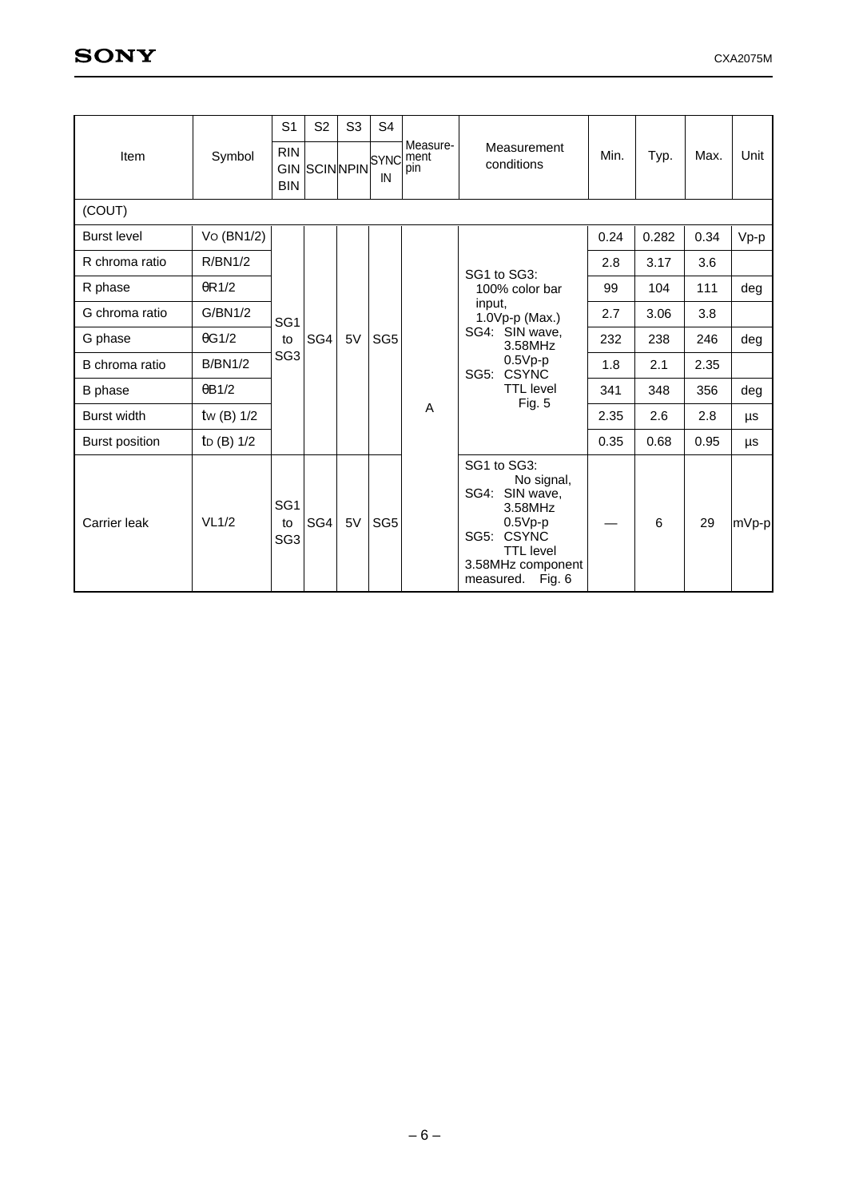|                       |                          | S <sub>1</sub>                           | S <sub>2</sub>      | S <sub>3</sub> | S4                |                         |                                                                                                                                                             |                  |        |                                      |        |     |      |
|-----------------------|--------------------------|------------------------------------------|---------------------|----------------|-------------------|-------------------------|-------------------------------------------------------------------------------------------------------------------------------------------------------------|------------------|--------|--------------------------------------|--------|-----|------|
| Item                  | Symbol                   | <b>RIN</b><br><b>BIN</b>                 | <b>GIN SCINNPIN</b> |                | <b>SYNC</b><br>IN | Measure-<br>ment<br>pin | Measurement<br>conditions                                                                                                                                   | Min.             | Typ.   | Max.                                 | Unit   |     |      |
| (COUT)                |                          |                                          |                     |                |                   |                         |                                                                                                                                                             |                  |        |                                      |        |     |      |
| <b>Burst level</b>    | Vo (BN1/2)               |                                          |                     |                |                   |                         |                                                                                                                                                             | 0.24             | 0.282  | 0.34                                 | $Vp-p$ |     |      |
| R chroma ratio        | R/BN1/2                  |                                          |                     |                |                   |                         | SG1 to SG3:                                                                                                                                                 | 2.8              | 3.17   | 3.6                                  |        |     |      |
| R phase               | $\theta$ R1/2            |                                          |                     |                | SG <sub>5</sub>   |                         | 100% color bar                                                                                                                                              | 99               | 104    | 111                                  | deg    |     |      |
| G chroma ratio        | G/BN1/2                  | SG <sub>1</sub><br>to<br>SG <sub>3</sub> | SG4                 |                |                   |                         | input.<br>1.0Vp-p (Max.)                                                                                                                                    | 2.7              | 3.06   | 3.8                                  |        |     |      |
| G phase               | $\theta$ G1/2            |                                          |                     | 5V             |                   |                         | SG4: SIN wave,<br>3.58MHz                                                                                                                                   | 232              | 238    | 246                                  | deg    |     |      |
| B chroma ratio        | <b>B/BN1/2</b>           |                                          |                     |                |                   |                         |                                                                                                                                                             |                  |        | $0.5Vp-p$<br><b>CSYNC</b><br>$SG5$ : | 1.8    | 2.1 | 2.35 |
| B phase               | $\theta$ B1/2            |                                          |                     |                |                   |                         |                                                                                                                                                             | <b>TTL</b> level | 341    | 348                                  | 356    | deg |      |
| <b>Burst width</b>    | tw $(B)$ 1/2             |                                          |                     |                |                   |                         |                                                                                                                                                             | A                | Fig. 5 | 2.35                                 | 2.6    | 2.8 | μs   |
| <b>Burst position</b> | t <sub>D</sub> $(B)$ 1/2 |                                          |                     |                |                   |                         |                                                                                                                                                             | 0.35             | 0.68   | 0.95                                 | μs     |     |      |
| Carrier leak          | VL1/2                    | SG <sub>1</sub><br>to<br>SG <sub>3</sub> | SG4                 | 5V             | SG <sub>5</sub>   |                         | SG1 to SG3:<br>No signal,<br>SG4: SIN wave,<br>3.58MHz<br>$0.5Vp-p$<br><b>CSYNC</b><br>SG5:<br><b>TTL</b> level<br>3.58MHz component<br>measured.<br>Fig. 6 |                  | 6      | 29                                   | mVp-p  |     |      |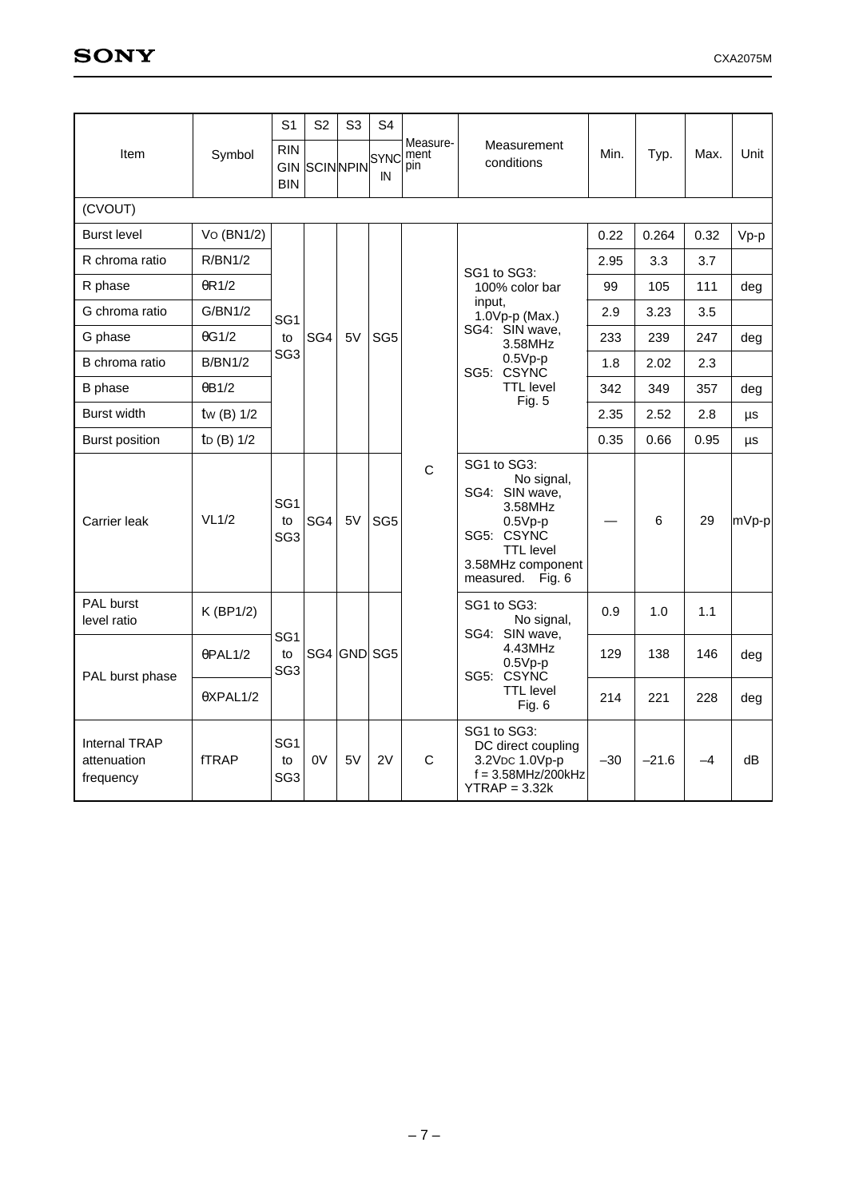|                                                  |                          | S <sub>1</sub>                           | S <sub>2</sub> | S <sub>3</sub> | S <sub>4</sub>                 |                         |                                                                                                                                                |       |         |      |        |
|--------------------------------------------------|--------------------------|------------------------------------------|----------------|----------------|--------------------------------|-------------------------|------------------------------------------------------------------------------------------------------------------------------------------------|-------|---------|------|--------|
| Item                                             | Symbol                   | <b>RIN</b><br><b>GIN</b><br><b>BIN</b>   |                |                | SCINNPIN <sup>SYNC</sup><br>IN | Measure-<br>ment<br>pin | Measurement<br>conditions                                                                                                                      | Min.  | Typ.    | Max. | Unit   |
| (CVOUT)                                          |                          |                                          |                |                |                                |                         |                                                                                                                                                |       |         |      |        |
| <b>Burst level</b>                               | Vo (BN1/2)               |                                          |                |                |                                |                         |                                                                                                                                                | 0.22  | 0.264   | 0.32 | $Vp-p$ |
| R chroma ratio                                   | R/BN1/2                  |                                          |                |                |                                |                         | SG1 to SG3:                                                                                                                                    | 2.95  | 3.3     | 3.7  |        |
| R phase                                          | $\theta$ R1/2            |                                          |                |                |                                |                         | 100% color bar                                                                                                                                 | 99    | 105     | 111  | deg    |
| G chroma ratio                                   | G/BN1/2                  | SG <sub>1</sub>                          |                |                |                                |                         | input,<br>1.0Vp-p (Max.)                                                                                                                       | 2.9   | 3.23    | 3.5  |        |
| G phase                                          | $\theta$ G1/2            | to                                       | SG4            | 5V             | SG <sub>5</sub>                |                         | SG4: SIN wave,<br>3.58MHz                                                                                                                      | 233   | 239     | 247  | deg    |
| B chroma ratio                                   | <b>B/BN1/2</b>           | SG <sub>3</sub>                          |                |                |                                |                         | $0.5Vp-p$<br>SG5: CSYNC                                                                                                                        | 1.8   | 2.02    | 2.3  |        |
| B phase                                          | $\theta$ B1/2            |                                          |                |                |                                |                         | <b>TTL</b> level<br>Fig. $5$                                                                                                                   | 342   | 349     | 357  | deg    |
| <b>Burst width</b>                               | tw $(B)$ 1/2             |                                          |                |                |                                |                         |                                                                                                                                                | 2.35  | 2.52    | 2.8  | μs     |
| <b>Burst position</b>                            | t <sub>D</sub> $(B)$ 1/2 |                                          |                |                |                                |                         |                                                                                                                                                | 0.35  | 0.66    | 0.95 | μs     |
| Carrier leak                                     | VL1/2                    | SG <sub>1</sub><br>to<br>SG <sub>3</sub> | SG4            | 5V             | SG <sub>5</sub>                | $\mathsf{C}$            | SG1 to SG3:<br>No signal,<br>SG4: SIN wave,<br>3.58MHz<br>$0.5Vp-p$<br>SG5: CSYNC<br><b>TTL</b> level<br>3.58MHz component<br>measured. Fig. 6 |       | 6       | 29   | mVp-p  |
| <b>PAL burst</b><br>level ratio                  | K (BP1/2)                |                                          |                |                |                                |                         | SG1 to SG3:<br>No signal,<br>SG4: SIN wave,                                                                                                    | 0.9   | 1.0     | 1.1  |        |
|                                                  | $\theta$ PAL1/2          | SG <sub>1</sub><br>to<br>SG <sub>3</sub> |                |                | SG4 GND SG5                    |                         | 4.43MHz<br>$0.5Vp-p$<br>SG5: CSYNC                                                                                                             | 129   | 138     | 146  | deg    |
| PAL burst phase                                  | $\theta$ XPAL1/2         |                                          |                |                |                                |                         | <b>TTL</b> level<br>Fig. $6$                                                                                                                   | 214   | 221     | 228  | deg    |
| <b>Internal TRAP</b><br>attenuation<br>frequency | <b>fTRAP</b>             | SG <sub>1</sub><br>to<br>SG <sub>3</sub> | 0V             | 5V             | 2V                             | C                       | SG1 to SG3:<br>DC direct coupling<br>3.2VDC 1.0Vp-p<br>$f = 3.58$ MHz/200kHz<br>$YTRAP = 3.32k$                                                | $-30$ | $-21.6$ | $-4$ | dB     |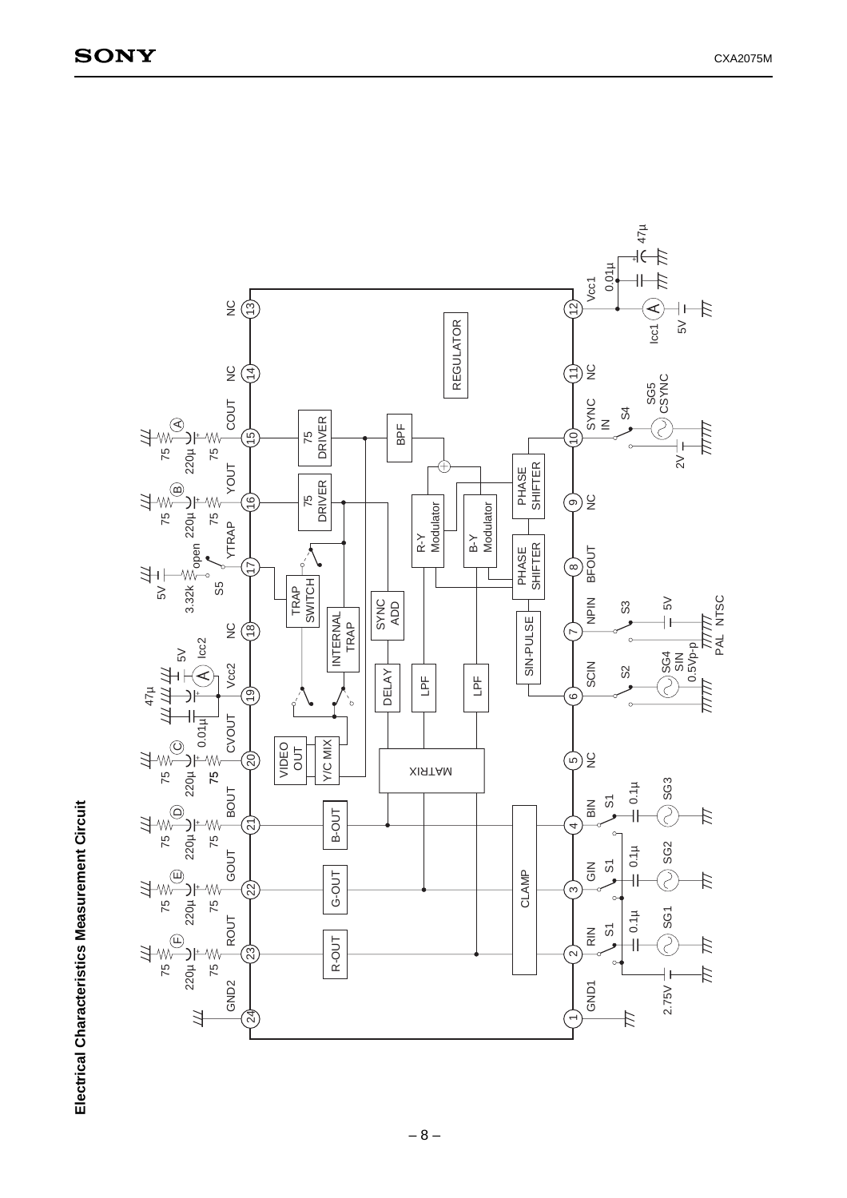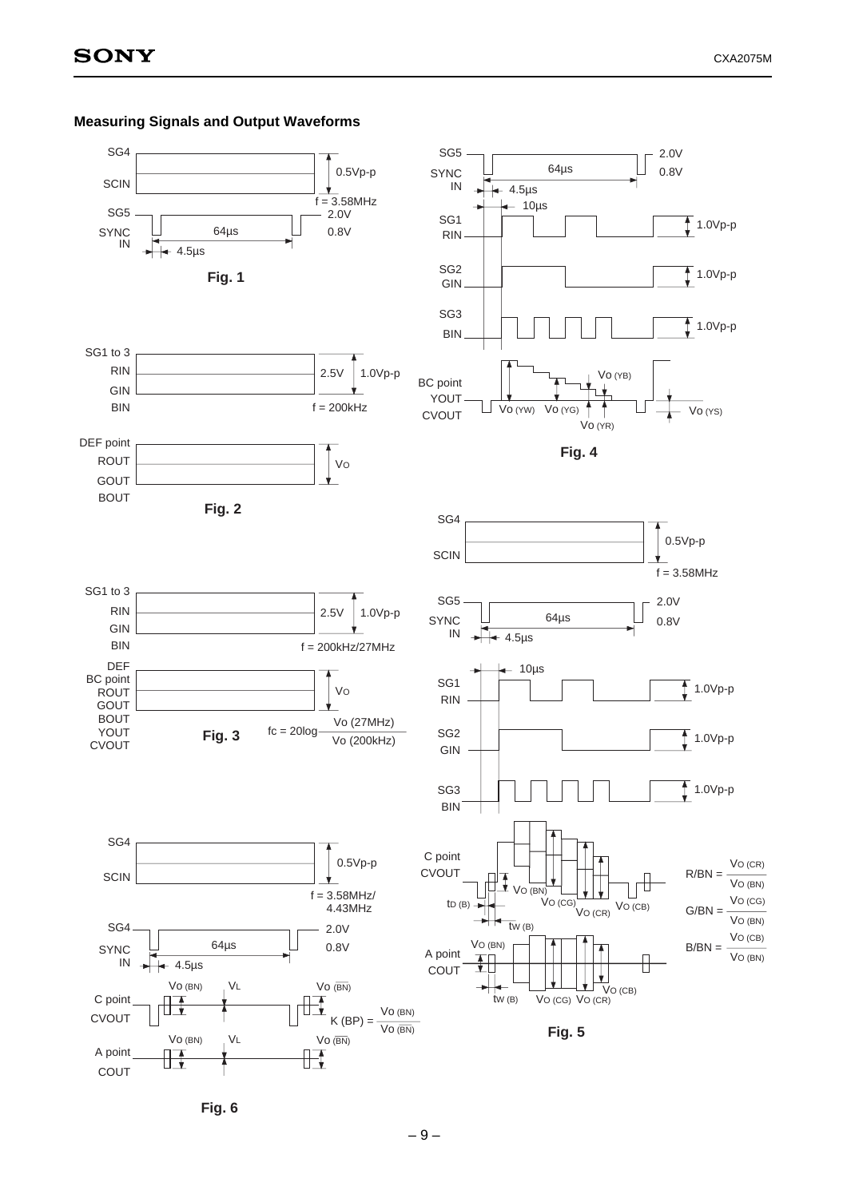

# **Measuring Signals and Output Waveforms**

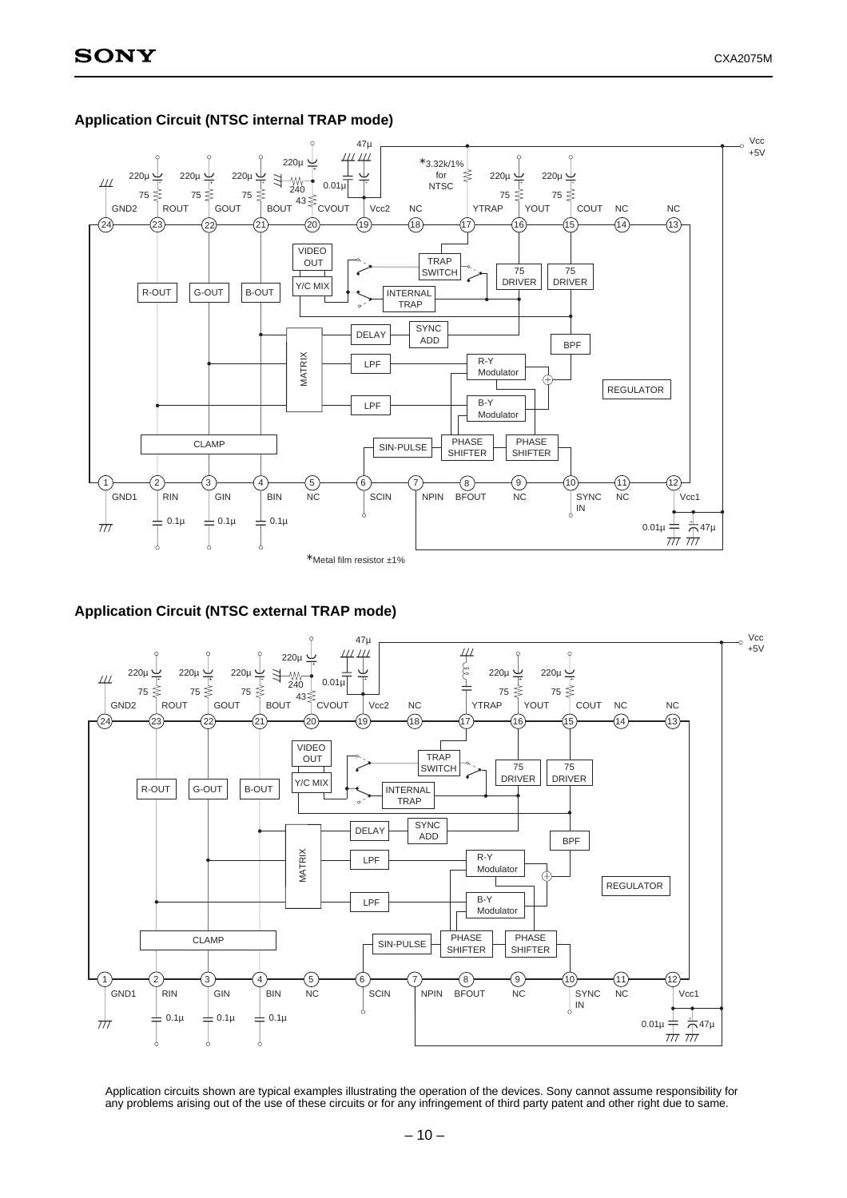

### **Application Circuit (NTSC internal TRAP mode)**

# **Application Circuit (NTSC external TRAP mode)**



Application circuits shown are typical examples illustrating the operation of the devices. Sony cannot assume responsibility for any problems arising out of the use of these circuits or for any infringement of third party patent and other right due to same.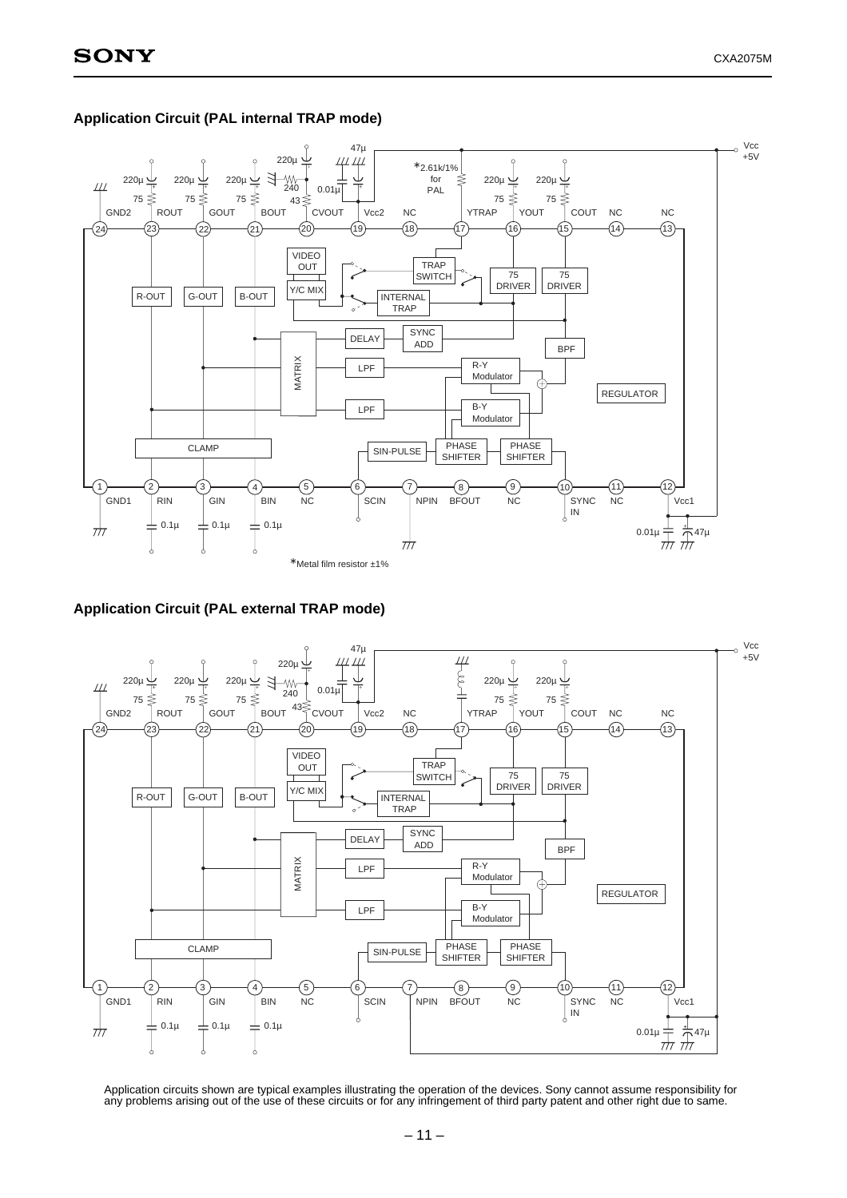

# **Application Circuit (PAL internal TRAP mode)**

**Application Circuit (PAL external TRAP mode)**



Application circuits shown are typical examples illustrating the operation of the devices. Sony cannot assume responsibility for any problems arising out of the use of these circuits or for any infringement of third party patent and other right due to same.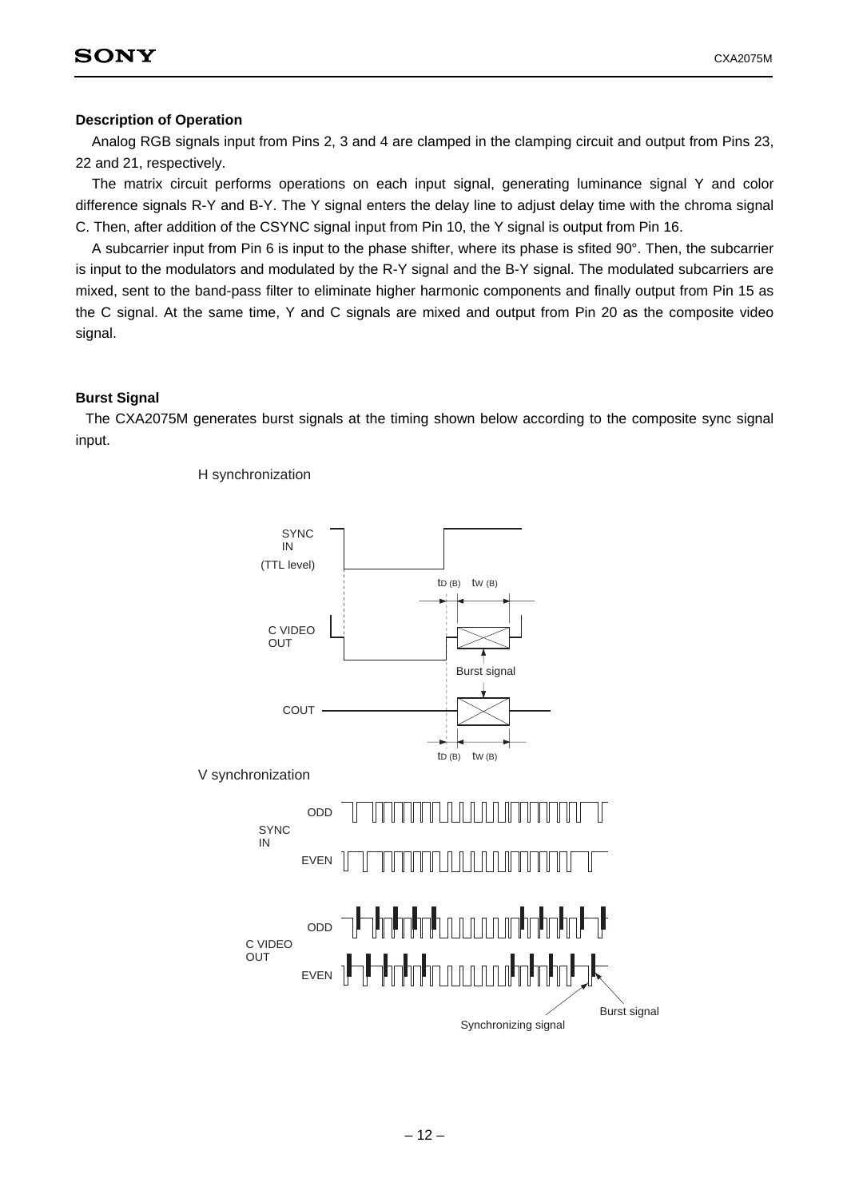# **Description of Operation**

Analog RGB signals input from Pins 2, 3 and 4 are clamped in the clamping circuit and output from Pins 23, 22 and 21, respectively.

The matrix circuit performs operations on each input signal, generating luminance signal Y and color difference signals R-Y and B-Y. The Y signal enters the delay line to adjust delay time with the chroma signal C. Then, after addition of the CSYNC signal input from Pin 10, the Y signal is output from Pin 16.

A subcarrier input from Pin 6 is input to the phase shifter, where its phase is sfited 90°. Then, the subcarrier is input to the modulators and modulated by the R-Y signal and the B-Y signal. The modulated subcarriers are mixed, sent to the band-pass filter to eliminate higher harmonic components and finally output from Pin 15 as the C signal. At the same time, Y and C signals are mixed and output from Pin 20 as the composite video signal.

# **Burst Signal**

The CXA2075M generates burst signals at the timing shown below according to the composite sync signal input.



H synchronization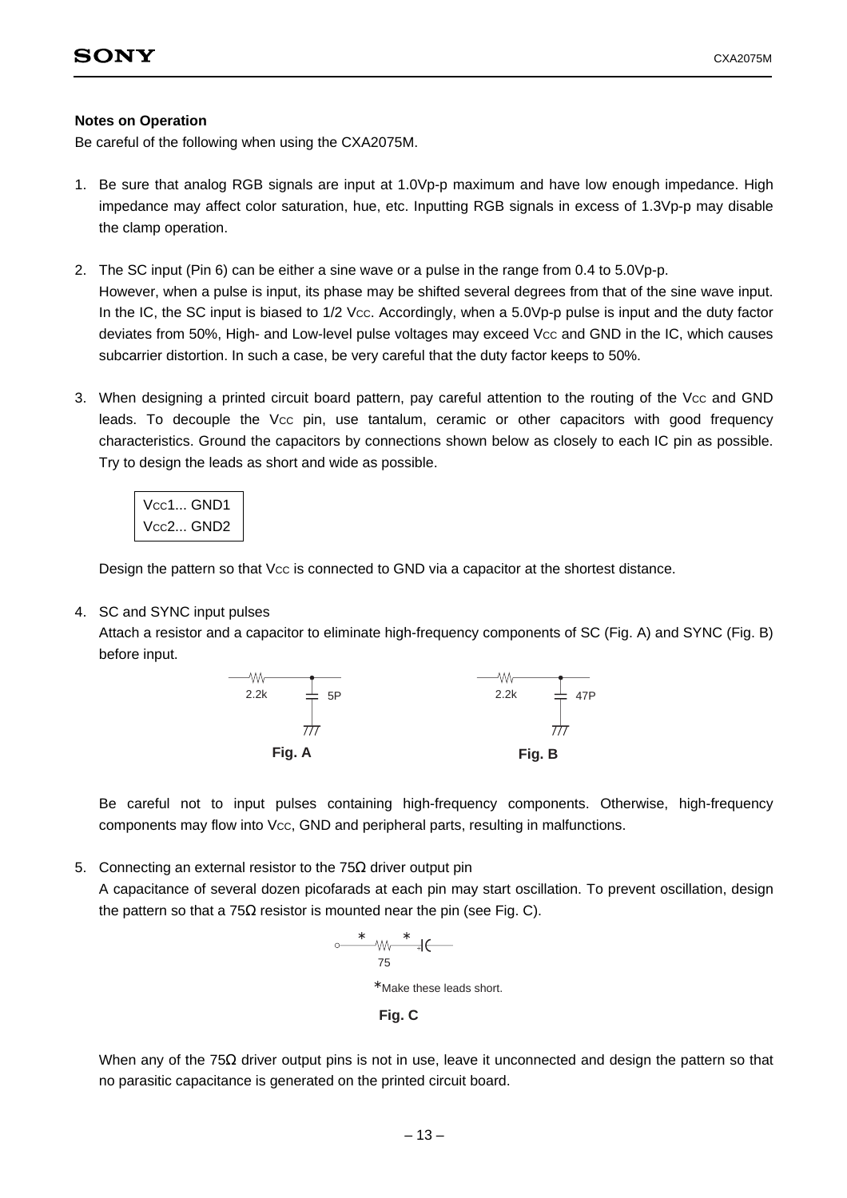# **Notes on Operation**

Be careful of the following when using the CXA2075M.

- 1. Be sure that analog RGB signals are input at 1.0Vp-p maximum and have low enough impedance. High impedance may affect color saturation, hue, etc. Inputting RGB signals in excess of 1.3Vp-p may disable the clamp operation.
- 2. The SC input (Pin 6) can be either a sine wave or a pulse in the range from 0.4 to 5.0Vp-p. However, when a pulse is input, its phase may be shifted several degrees from that of the sine wave input. In the IC, the SC input is biased to 1/2 Vcc. Accordingly, when a 5.0Vp-p pulse is input and the duty factor deviates from 50%, High- and Low-level pulse voltages may exceed Vcc and GND in the IC, which causes subcarrier distortion. In such a case, be very careful that the duty factor keeps to 50%.
- 3. When designing a printed circuit board pattern, pay careful attention to the routing of the Vcc and GND leads. To decouple the Vcc pin, use tantalum, ceramic or other capacitors with good frequency characteristics. Ground the capacitors by connections shown below as closely to each IC pin as possible. Try to design the leads as short and wide as possible.

| $\vert$ Vcc1 GND1 |  |
|-------------------|--|
| $\vert$ Vcc2 GND2 |  |

Design the pattern so that Vcc is connected to GND via a capacitor at the shortest distance.

# 4. SC and SYNC input pulses

Attach a resistor and a capacitor to eliminate high-frequency components of SC (Fig. A) and SYNC (Fig. B) before input.



Be careful not to input pulses containing high-frequency components. Otherwise, high-frequency components may flow into Vcc, GND and peripheral parts, resulting in malfunctions.

5. Connecting an external resistor to the 75Ω driver output pin

A capacitance of several dozen picofarads at each pin may start oscillation. To prevent oscillation, design the pattern so that a 75 $\Omega$  resistor is mounted near the pin (see Fig. C).

$$
\begin{array}{cccc}\n & * & \\
& \uparrow & \\
& 75 & \\
& * & \n\end{array}
$$
\nMake these leads short.

**Fig. C**

When any of the 75 $\Omega$  driver output pins is not in use, leave it unconnected and design the pattern so that no parasitic capacitance is generated on the printed circuit board.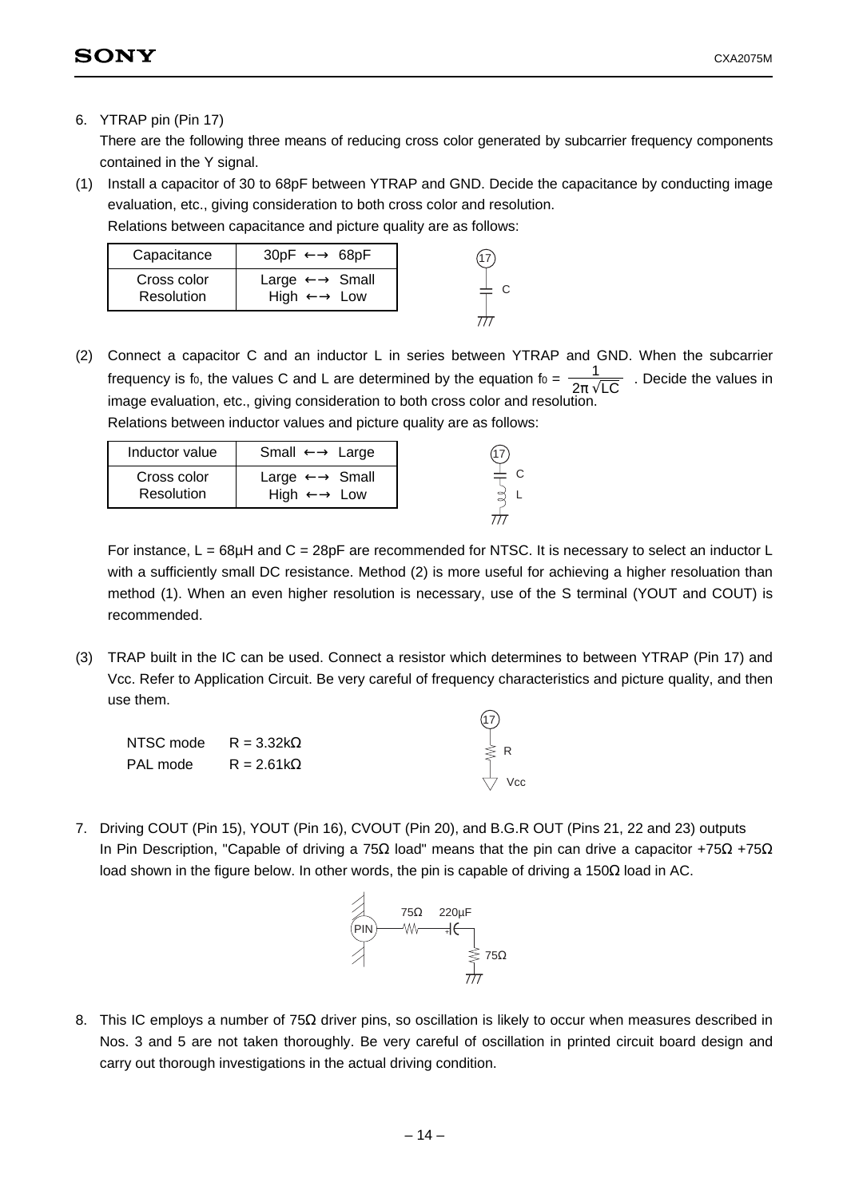# 6. YTRAP pin (Pin 17)

There are the following three means of reducing cross color generated by subcarrier frequency components contained in the Y signal.

(1) Install a capacitor of 30 to 68pF between YTRAP and GND. Decide the capacitance by conducting image evaluation, etc., giving consideration to both cross color and resolution.

Relations between capacitance and picture quality are as follows:

| Capacitance               | $30pF \leftrightarrow 68pF$                                         |  |
|---------------------------|---------------------------------------------------------------------|--|
| Cross color<br>Resolution | Large $\longleftrightarrow$ Small<br>High $\longleftrightarrow$ Low |  |
|                           |                                                                     |  |

(2) Connect a capacitor C and an inductor L in series between YTRAP and GND. When the subcarrier frequency is fo, the values C and L are determined by the equation fo =  $\frac{1}{2\sqrt{1.6}}$ . Decide the values in image evaluation, etc., giving consideration to both cross color and resolution. Relations between inductor values and picture quality are as follows: 2π √LC

| Inductor value            | Small $\longleftrightarrow$ Large                                   |  |
|---------------------------|---------------------------------------------------------------------|--|
| Cross color<br>Resolution | Large $\longleftrightarrow$ Small<br>High $\longleftrightarrow$ Low |  |
|                           |                                                                     |  |

For instance,  $L = 68\mu$ H and  $C = 28pF$  are recommended for NTSC. It is necessary to select an inductor L with a sufficiently small DC resistance. Method (2) is more useful for achieving a higher resoluation than method (1). When an even higher resolution is necessary, use of the S terminal (YOUT and COUT) is recommended.

C

(3) TRAP built in the IC can be used. Connect a resistor which determines to between YTRAP (Pin 17) and Vcc. Refer to Application Circuit. Be very careful of frequency characteristics and picture quality, and then use them.

| NTSC mode $R = 3.32k\Omega$ |  | $\geqslant R$ |
|-----------------------------|--|---------------|
| PAL mode $R = 2.61k\Omega$  |  |               |
|                             |  | Vcc           |

7. Driving COUT (Pin 15), YOUT (Pin 16), CVOUT (Pin 20), and B.G.R OUT (Pins 21, 22 and 23) outputs In Pin Description, "Capable of driving a 75Ω load" means that the pin can drive a capacitor +75Ω +75Ω load shown in the figure below. In other words, the pin is capable of driving a 150 $Ω$  load in AC.



8. This IC employs a number of 75Ω driver pins, so oscillation is likely to occur when measures described in Nos. 3 and 5 are not taken thoroughly. Be very careful of oscillation in printed circuit board design and carry out thorough investigations in the actual driving condition.